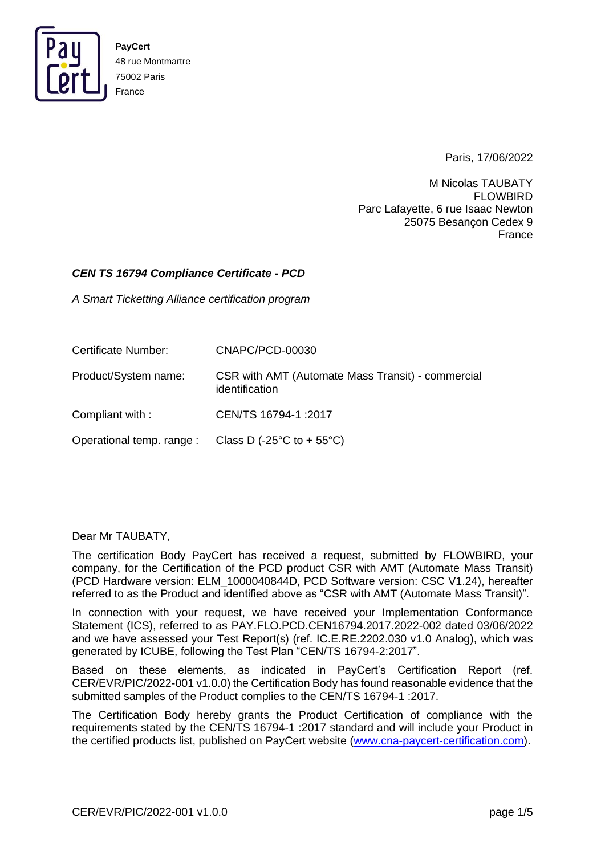

Paris, 17/06/2022

M Nicolas TAUBATY FLOWBIRD Parc Lafayette, 6 rue Isaac Newton 25075 Besançon Cedex 9 France

#### *CEN TS 16794 Compliance Certificate - PCD*

*A Smart Ticketting Alliance certification program*

| Certificate Number:  | CNAPC/PCD-00030                                                         |
|----------------------|-------------------------------------------------------------------------|
| Product/System name: | CSR with AMT (Automate Mass Transit) - commercial<br>identification     |
| Compliant with:      | CEN/TS 16794-1:2017                                                     |
|                      | Operational temp. range : Class D (-25 $\degree$ C to + 55 $\degree$ C) |

Dear Mr TAUBATY,

The certification Body PayCert has received a request, submitted by FLOWBIRD, your company, for the Certification of the PCD product CSR with AMT (Automate Mass Transit) (PCD Hardware version: ELM\_1000040844D, PCD Software version: CSC V1.24), hereafter referred to as the Product and identified above as "CSR with AMT (Automate Mass Transit)".

In connection with your request, we have received your Implementation Conformance Statement (ICS), referred to as PAY.FLO.PCD.CEN16794.2017.2022-002 dated 03/06/2022 and we have assessed your Test Report(s) (ref. IC.E.RE.2202.030 v1.0 Analog), which was generated by ICUBE, following the Test Plan "CEN/TS 16794-2:2017".

Based on these elements, as indicated in PayCert's Certification Report (ref. CER/EVR/PIC/2022-001 v1.0.0) the Certification Body has found reasonable evidence that the submitted samples of the Product complies to the CEN/TS 16794-1 :2017.

The Certification Body hereby grants the Product Certification of compliance with the requirements stated by the CEN/TS 16794-1 :2017 standard and will include your Product in the certified products list, published on PayCert website [\(www.cna-paycert-certification.com\)](http://www.cna-paycert-certification.com/).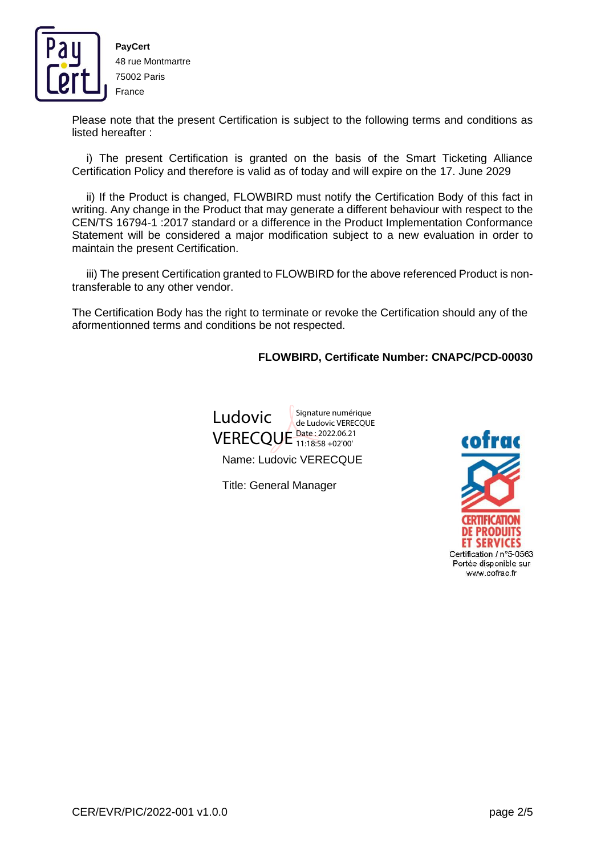

Please note that the present Certification is subject to the following terms and conditions as listed hereafter :

i) The present Certification is granted on the basis of the Smart Ticketing Alliance Certification Policy and therefore is valid as of today and will expire on the 17. June 2029

ii) If the Product is changed, FLOWBIRD must notify the Certification Body of this fact in writing. Any change in the Product that may generate a different behaviour with respect to the CEN/TS 16794-1 :2017 standard or a difference in the Product Implementation Conformance Statement will be considered a major modification subject to a new evaluation in order to maintain the present Certification.

iii) The present Certification granted to FLOWBIRD for the above referenced Product is nontransferable to any other vendor.

The Certification Body has the right to terminate or revoke the Certification should any of the aformentionned terms and conditions be not respected.

**FLOWBIRD, Certificate Number: CNAPC/PCD-00030**



Name: Ludovic VERECQUE

Title: General Manager

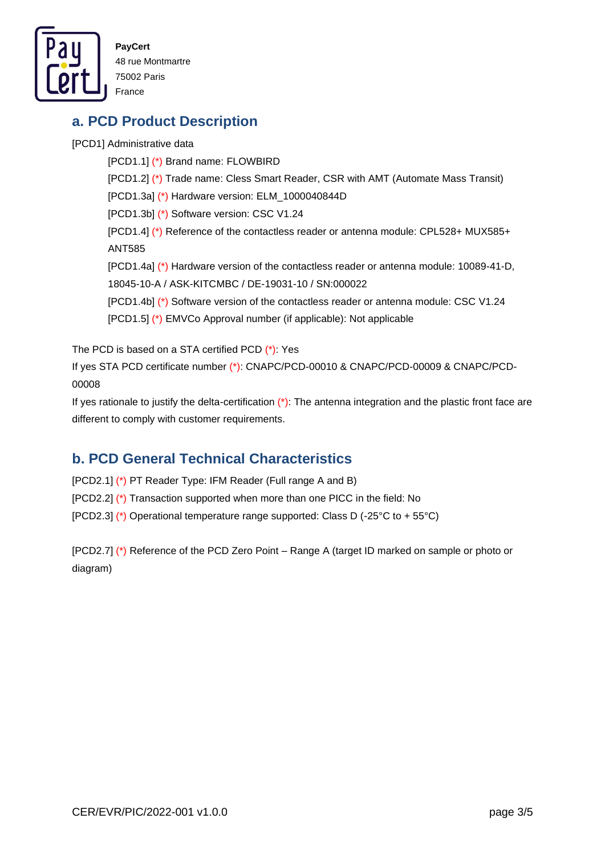

## **a. PCD Product Description**

[PCD1] Administrative data

[PCD1.1] (\*) Brand name: FLOWBIRD [PCD1.2] (\*) Trade name: Cless Smart Reader, CSR with AMT (Automate Mass Transit) [PCD1.3a] (\*) Hardware version: ELM\_1000040844D [PCD1.3b] (\*) Software version: CSC V1.24 [PCD1.4] (\*) Reference of the contactless reader or antenna module: CPL528+ MUX585+ ANT585 [PCD1.4a] (\*) Hardware version of the contactless reader or antenna module: 10089-41-D, 18045-10-A / ASK-KITCMBC / DE-19031-10 / SN:000022 [PCD1.4b] (\*) Software version of the contactless reader or antenna module: CSC V1.24 [PCD1.5] (\*) EMVCo Approval number (if applicable): Not applicable

The PCD is based on a STA certified PCD (\*): Yes

If yes STA PCD certificate number (\*): CNAPC/PCD-00010 & CNAPC/PCD-00009 & CNAPC/PCD-00008

If yes rationale to justify the delta-certification  $(*)$ : The antenna integration and the plastic front face are different to comply with customer requirements.

## **b. PCD General Technical Characteristics**

[PCD2.1] (\*) PT Reader Type: IFM Reader (Full range A and B)

[PCD2.2] (\*) Transaction supported when more than one PICC in the field: No

[PCD2.3] (\*) Operational temperature range supported: Class D (-25°C to + 55°C)

[PCD2.7] (\*) Reference of the PCD Zero Point – Range A (target ID marked on sample or photo or diagram)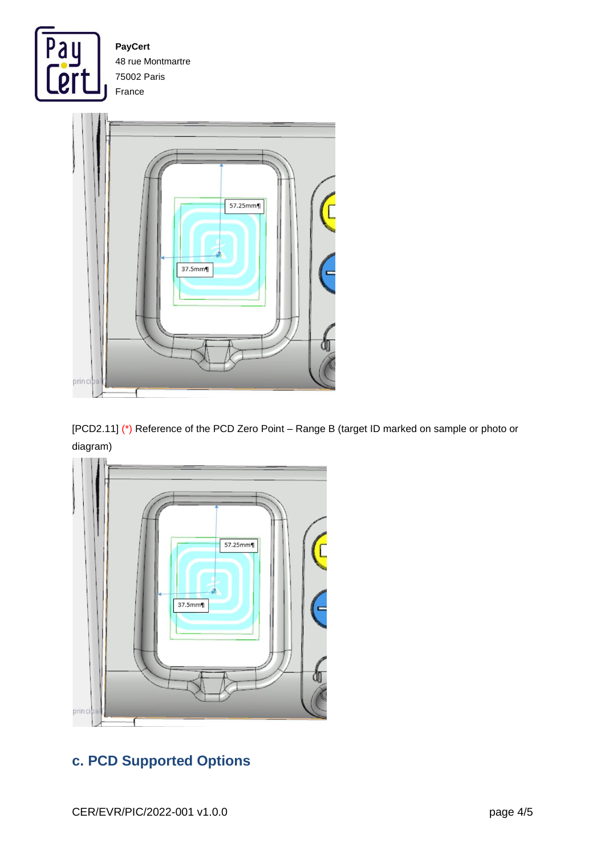



[PCD2.11] (\*) Reference of the PCD Zero Point – Range B (target ID marked on sample or photo or diagram)



# **c. PCD Supported Options**